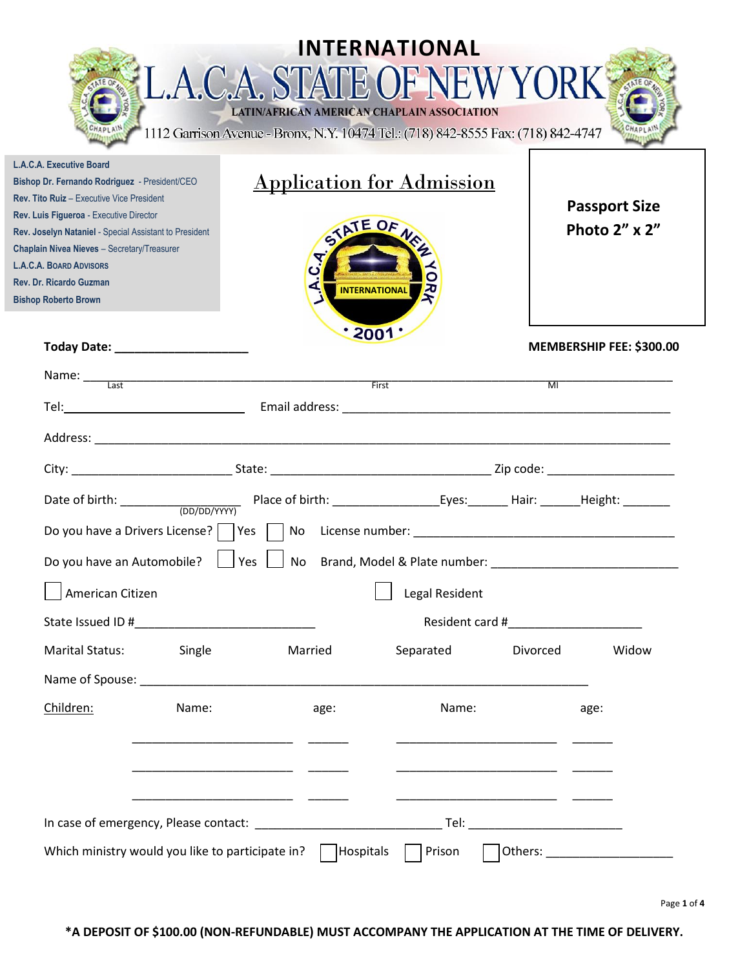|                                                                                                                                                                                                                                                                                                                                                                               | L.A.C.A. STATE OF NEW YORK<br>1112 Garrison Avenue - Bronx, N.Y. 10474 Tel.: (718) 842-8555 Fax: (718) 842-4747 | INTERNATIONAL<br>LATIN/AFRICAN AMERICAN CHAPLAIN ASSOCIATION         |                                                                                                                      |                                       |
|-------------------------------------------------------------------------------------------------------------------------------------------------------------------------------------------------------------------------------------------------------------------------------------------------------------------------------------------------------------------------------|-----------------------------------------------------------------------------------------------------------------|----------------------------------------------------------------------|----------------------------------------------------------------------------------------------------------------------|---------------------------------------|
| L.A.C.A. Executive Board<br>Bishop Dr. Fernando Rodriguez - President/CEO<br>Rev. Tito Ruiz - Executive Vice President<br>Rev. Luis Figueroa - Executive Director<br>Rev. Joselyn Nataniel - Special Assistant to President<br>Chaplain Nivea Nieves - Secretary/Treasurer<br><b>L.A.C.A. BOARD ADVISORS</b><br><b>Rev. Dr. Ricardo Guzman</b><br><b>Bishop Roberto Brown</b> |                                                                                                                 | <b>Application for Admission</b><br>STATE OF<br><b>INTERNATIONAL</b> |                                                                                                                      | <b>Passport Size</b><br>Photo 2" x 2" |
| Today Date: ____________________                                                                                                                                                                                                                                                                                                                                              |                                                                                                                 | $\cdot$ 2001:                                                        |                                                                                                                      | MEMBERSHIP FEE: \$300.00              |
| Name: <u>Last Communications of the Second Communications of the Second Communications of the Second Communications of the Second Communications of the Second Communications of the Second Communications of the Second Communi</u>                                                                                                                                          |                                                                                                                 |                                                                      | $\overline{\mathsf{M}}$                                                                                              |                                       |
|                                                                                                                                                                                                                                                                                                                                                                               |                                                                                                                 |                                                                      |                                                                                                                      |                                       |
|                                                                                                                                                                                                                                                                                                                                                                               |                                                                                                                 |                                                                      |                                                                                                                      |                                       |
|                                                                                                                                                                                                                                                                                                                                                                               |                                                                                                                 |                                                                      |                                                                                                                      |                                       |
|                                                                                                                                                                                                                                                                                                                                                                               |                                                                                                                 |                                                                      |                                                                                                                      |                                       |
|                                                                                                                                                                                                                                                                                                                                                                               |                                                                                                                 |                                                                      |                                                                                                                      |                                       |
| Do you have an Automobile?                                                                                                                                                                                                                                                                                                                                                    | $\vert$ Yes $\vert$ $\vert$                                                                                     |                                                                      |                                                                                                                      |                                       |
| American Citizen                                                                                                                                                                                                                                                                                                                                                              |                                                                                                                 | Legal Resident                                                       |                                                                                                                      |                                       |
|                                                                                                                                                                                                                                                                                                                                                                               |                                                                                                                 |                                                                      |                                                                                                                      |                                       |
| Marital Status:                                                                                                                                                                                                                                                                                                                                                               | Single<br>Married                                                                                               | Separated                                                            | Divorced                                                                                                             | Widow                                 |
|                                                                                                                                                                                                                                                                                                                                                                               |                                                                                                                 |                                                                      |                                                                                                                      |                                       |
| Children:                                                                                                                                                                                                                                                                                                                                                                     | Name:<br>age:                                                                                                   |                                                                      | Name:                                                                                                                | age:                                  |
|                                                                                                                                                                                                                                                                                                                                                                               |                                                                                                                 |                                                                      | <u> 2000 - Jan Barat, martin da basar da basar da basar da basar da basar da basar da basar da basar da basar da</u> |                                       |
|                                                                                                                                                                                                                                                                                                                                                                               |                                                                                                                 |                                                                      |                                                                                                                      |                                       |
| Which ministry would you like to participate in? $\parallel$  Hospitals    Prison                                                                                                                                                                                                                                                                                             |                                                                                                                 |                                                                      |                                                                                                                      | Others: ______________________        |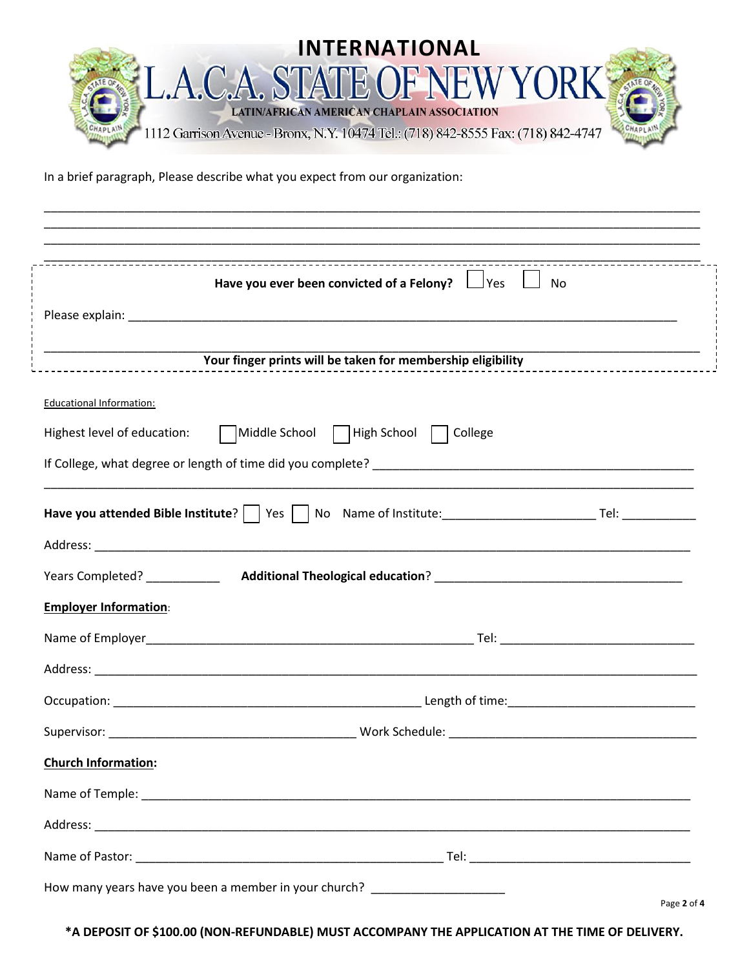

\_\_\_\_\_\_\_\_\_\_\_\_\_\_\_\_\_\_\_\_\_\_\_\_\_\_\_\_\_\_\_\_\_\_\_\_\_\_\_\_\_\_\_\_\_\_\_\_\_\_\_\_\_\_\_\_\_\_\_\_\_\_\_\_\_\_\_\_\_\_\_\_\_\_\_\_\_\_\_\_\_\_\_\_\_\_\_\_\_\_\_\_\_\_\_\_\_\_

In a brief paragraph, Please describe what you expect from our organization:

|                                 | Have you ever been convicted of a Felony? $\Box$ Yes $\Box$ No    |  |
|---------------------------------|-------------------------------------------------------------------|--|
|                                 |                                                                   |  |
|                                 | Your finger prints will be taken for membership eligibility       |  |
| <b>Educational Information:</b> |                                                                   |  |
|                                 | Highest level of education: Middle School   High School   College |  |
|                                 |                                                                   |  |
|                                 |                                                                   |  |
|                                 |                                                                   |  |
|                                 |                                                                   |  |
| <b>Employer Information:</b>    |                                                                   |  |
|                                 |                                                                   |  |
|                                 |                                                                   |  |
|                                 |                                                                   |  |
|                                 |                                                                   |  |
| <b>Church Information:</b>      |                                                                   |  |
|                                 |                                                                   |  |
|                                 |                                                                   |  |
|                                 |                                                                   |  |

**\*A DEPOSIT OF \$100.00 (NON-REFUNDABLE) MUST ACCOMPANY THE APPLICATION AT THE TIME OF DELIVERY.**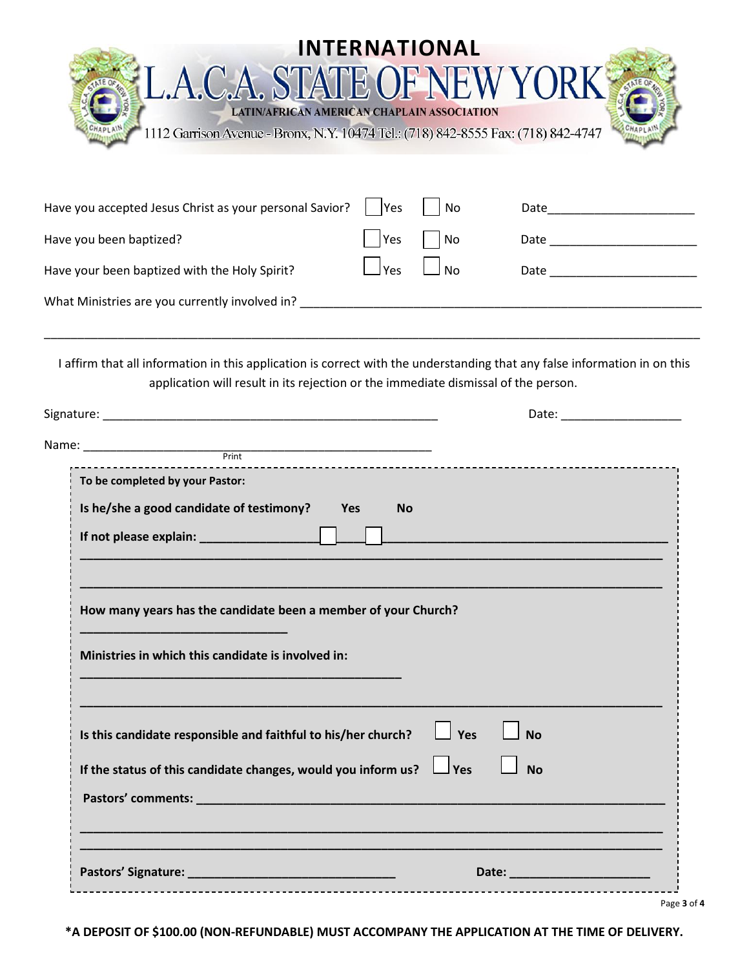|                                                                                                                                                                                                                                |            | <b>INTERNATIONAL</b> |                                  |
|--------------------------------------------------------------------------------------------------------------------------------------------------------------------------------------------------------------------------------|------------|----------------------|----------------------------------|
| L.A.C.A. STATE OF NEW YORK                                                                                                                                                                                                     |            |                      |                                  |
| LATIN/AFRICAN AMERICAN CHAPLAIN ASSOCIATION<br>1112 Garrison Avenue - Bronx, N.Y. 10474 Tel.: (718) 842-8555 Fax: (718) 842-4747                                                                                               |            |                      |                                  |
|                                                                                                                                                                                                                                |            |                      |                                  |
| Have you accepted Jesus Christ as your personal Savior?                                                                                                                                                                        | lYes       | No                   |                                  |
| Have you been baptized?                                                                                                                                                                                                        | Yes        | <b>No</b>            | Date ___________________________ |
| Have your been baptized with the Holy Spirit?                                                                                                                                                                                  | $\Box$ Yes | <b>No</b>            |                                  |
| What Ministries are you currently involved in? Notifiantly and the control of the control of the control of the control of the control of the control of the control of the control of the control of the control of the contr |            |                      |                                  |
|                                                                                                                                                                                                                                |            |                      |                                  |
| I affirm that all information in this application is correct with the understanding that any false information in on this<br>application will result in its rejection or the immediate dismissal of the person.                |            |                      |                                  |
|                                                                                                                                                                                                                                |            |                      |                                  |
|                                                                                                                                                                                                                                |            |                      |                                  |
| . <b>.</b>                                                                                                                                                                                                                     |            |                      |                                  |

| To be completed by your Pastor:                                          |                                   |
|--------------------------------------------------------------------------|-----------------------------------|
| Is he/she a good candidate of testimony? Yes                             | <b>No</b>                         |
|                                                                          |                                   |
|                                                                          |                                   |
| How many years has the candidate been a member of your Church?           |                                   |
|                                                                          |                                   |
| Ministries in which this candidate is involved in:                       |                                   |
|                                                                          |                                   |
| Is this candidate responsible and faithful to his/her church? $\Box$ Yes | <b>No</b>                         |
| If the status of this candidate changes, would you inform us? $\Box$ Yes | <b>No</b>                         |
|                                                                          |                                   |
|                                                                          |                                   |
|                                                                          |                                   |
|                                                                          | <b>Date: Date: Date: Property</b> |

**\*A DEPOSIT OF \$100.00 (NON-REFUNDABLE) MUST ACCOMPANY THE APPLICATION AT THE TIME OF DELIVERY.**